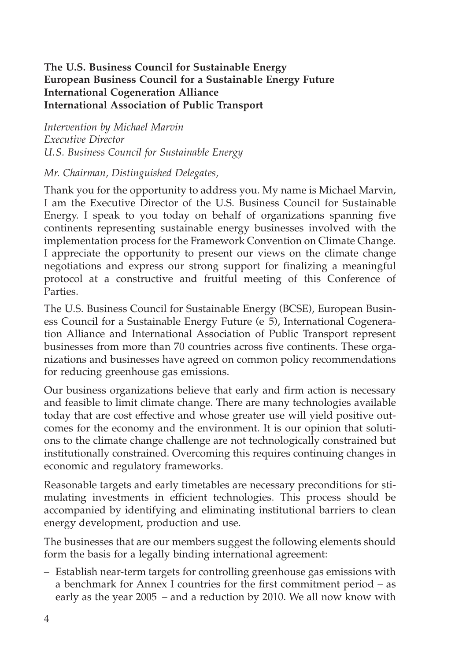## **The U.S. Business Council for Sustainable Energy European Business Council for a Sustainable Energy Future International Cogeneration Alliance International Association of Public Transport**

*Intervention by Michael Marvin Executive Director U.S. Business Council for Sustainable Energy*

## *Mr. Chairman, Distinguished Delegates,*

Thank you for the opportunity to address you. My name is Michael Marvin, I am the Executive Director of the U.S. Business Council for Sustainable Energy. I speak to you today on behalf of organizations spanning five continents representing sustainable energy businesses involved with the implementation process for the Framework Convention on Climate Change. I appreciate the opportunity to present our views on the climate change negotiations and express our strong support for finalizing a meaningful protocol at a constructive and fruitful meeting of this Conference of Parties.

The U.S. Business Council for Sustainable Energy (BCSE), European Business Council for a Sustainable Energy Future (e 5), International Cogeneration Alliance and International Association of Public Transport represent businesses from more than 70 countries across five continents. These organizations and businesses have agreed on common policy recommendations for reducing greenhouse gas emissions.

Our business organizations believe that early and firm action is necessary and feasible to limit climate change. There are many technologies available today that are cost effective and whose greater use will yield positive outcomes for the economy and the environment. It is our opinion that solutions to the climate change challenge are not technologically constrained but institutionally constrained. Overcoming this requires continuing changes in economic and regulatory frameworks.

Reasonable targets and early timetables are necessary preconditions for stimulating investments in efficient technologies. This process should be accompanied by identifying and eliminating institutional barriers to clean energy development, production and use.

The businesses that are our members suggest the following elements should form the basis for a legally binding international agreement:

– Establish near-term targets for controlling greenhouse gas emissions with a benchmark for Annex I countries for the first commitment period – as early as the year 2005 – and a reduction by 2010. We all now know with